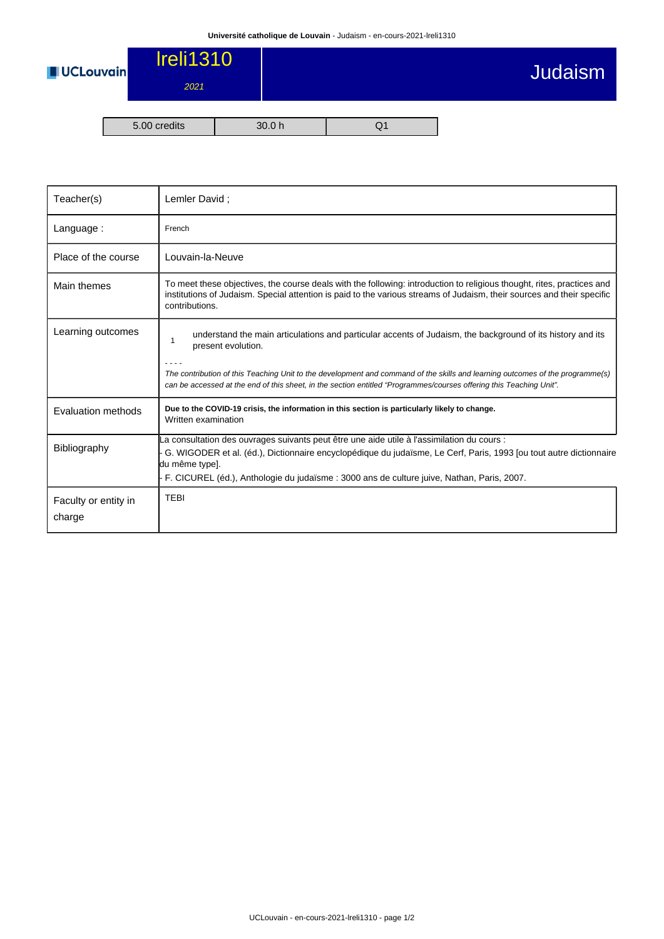

| Teacher(s)                     | Lemler David;                                                                                                                                                                                                                                                                                                                                                                                 |
|--------------------------------|-----------------------------------------------------------------------------------------------------------------------------------------------------------------------------------------------------------------------------------------------------------------------------------------------------------------------------------------------------------------------------------------------|
| Language:                      | French                                                                                                                                                                                                                                                                                                                                                                                        |
| Place of the course            | Louvain-la-Neuve                                                                                                                                                                                                                                                                                                                                                                              |
| Main themes                    | To meet these objectives, the course deals with the following: introduction to religious thought, rites, practices and<br>institutions of Judaism. Special attention is paid to the various streams of Judaism, their sources and their specific<br>contributions.                                                                                                                            |
| Learning outcomes              | understand the main articulations and particular accents of Judaism, the background of its history and its<br>1<br>present evolution.<br>The contribution of this Teaching Unit to the development and command of the skills and learning outcomes of the programme(s)<br>can be accessed at the end of this sheet, in the section entitled "Programmes/courses offering this Teaching Unit". |
| Evaluation methods             | Due to the COVID-19 crisis, the information in this section is particularly likely to change.<br>Written examination                                                                                                                                                                                                                                                                          |
| <b>Bibliography</b>            | La consultation des ouvrages suivants peut être une aide utile à l'assimilation du cours :<br>G. WIGODER et al. (éd.), Dictionnaire encyclopédique du judaïsme, Le Cerf, Paris, 1993 [ou tout autre dictionnaire<br>du même type].<br>F. CICUREL (éd.), Anthologie du judaïsme : 3000 ans de culture juive, Nathan, Paris, 2007.                                                              |
| Faculty or entity in<br>charge | <b>TEBI</b>                                                                                                                                                                                                                                                                                                                                                                                   |